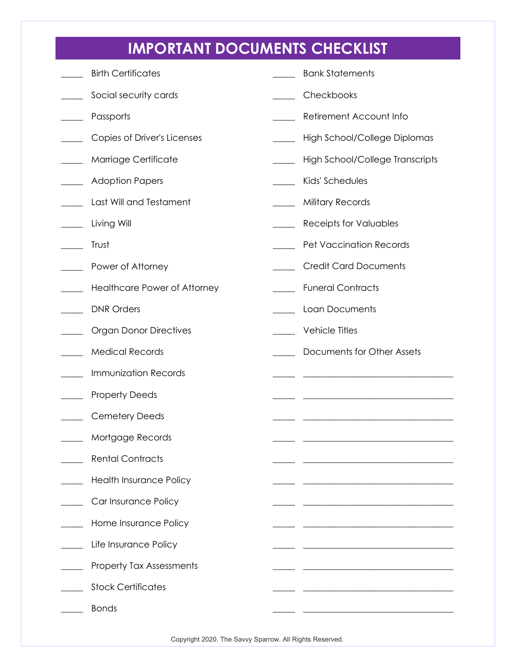## **IMPORTANT DOCUMENTS CHECKLIST**

| <b>Birth Certificates</b>       | <b>Bank Statements</b>                                       |
|---------------------------------|--------------------------------------------------------------|
| Social security cards           | Checkbooks                                                   |
| Passports                       | Retirement Account Info                                      |
| Copies of Driver's Licenses     | High School/College Diplomas                                 |
| Marriage Certificate            | High School/College Transcripts                              |
| <b>Adoption Papers</b>          | Kids' Schedules                                              |
| Last Will and Testament         | <b>Military Records</b><br>$\overline{\phantom{a}}$          |
| Living Will                     | Receipts for Valuables                                       |
| Trust                           | <b>Pet Vaccination Records</b>                               |
| Power of Attorney               | <b>Credit Card Documents</b>                                 |
| Healthcare Power of Attorney    | <b>Funeral Contracts</b>                                     |
| <b>DNR Orders</b>               | Loan Documents                                               |
| <b>Organ Donor Directives</b>   | <b>Vehicle Titles</b>                                        |
| <b>Medical Records</b>          | Documents for Other Assets                                   |
|                                 |                                                              |
| <b>Immunization Records</b>     | <u> 1989 - Johann Barn, margaret eta idazlear (h. 1989).</u> |
| <b>Property Deeds</b>           |                                                              |
| <b>Cemetery Deeds</b>           |                                                              |
| Mortgage Records                |                                                              |
| <b>Rental Contracts</b>         |                                                              |
| <b>Health Insurance Policy</b>  |                                                              |
| Car Insurance Policy            |                                                              |
| Home Insurance Policy           |                                                              |
| Life Insurance Policy           |                                                              |
| <b>Property Tax Assessments</b> |                                                              |
| <b>Stock Certificates</b>       |                                                              |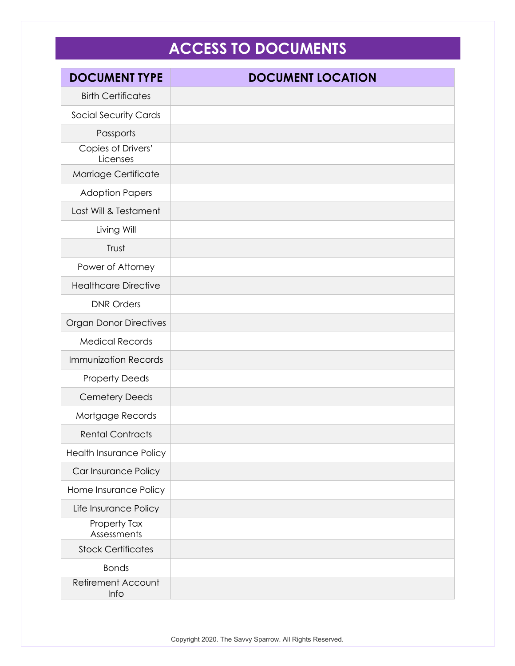## **ACCESS TO DOCUMENTS**

| <b>DOCUMENT TYPE</b>              | <b>DOCUMENT LOCATION</b> |
|-----------------------------------|--------------------------|
| <b>Birth Certificates</b>         |                          |
| <b>Social Security Cards</b>      |                          |
| Passports                         |                          |
| Copies of Drivers'<br>Licenses    |                          |
| Marriage Certificate              |                          |
| <b>Adoption Papers</b>            |                          |
| Last Will & Testament             |                          |
| Living Will                       |                          |
| Trust                             |                          |
| Power of Attorney                 |                          |
| <b>Healthcare Directive</b>       |                          |
| <b>DNR Orders</b>                 |                          |
| <b>Organ Donor Directives</b>     |                          |
| <b>Medical Records</b>            |                          |
| <b>Immunization Records</b>       |                          |
| <b>Property Deeds</b>             |                          |
| <b>Cemetery Deeds</b>             |                          |
| Mortgage Records                  |                          |
| <b>Rental Contracts</b>           |                          |
| <b>Health Insurance Policy</b>    |                          |
| Car Insurance Policy              |                          |
| Home Insurance Policy             |                          |
| Life Insurance Policy             |                          |
| Property Tax<br>Assessments       |                          |
| <b>Stock Certificates</b>         |                          |
| <b>Bonds</b>                      |                          |
| <b>Retirement Account</b><br>Info |                          |